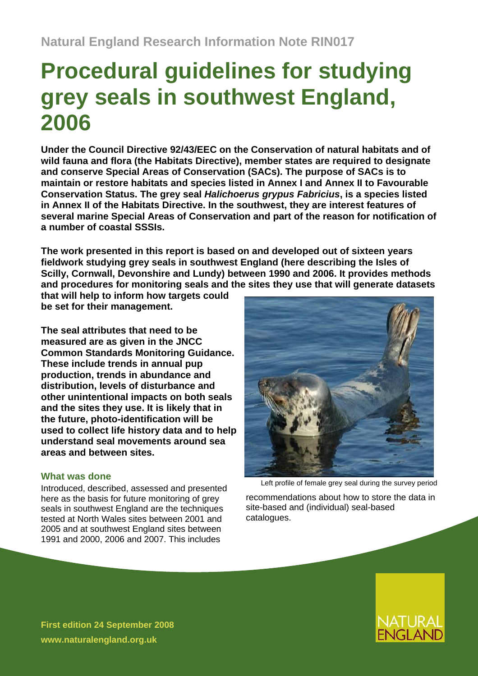# **Procedural guidelines for studying grey seals in southwest England, 2006**

**Under the Council Directive 92/43/EEC on the Conservation of natural habitats and of wild fauna and flora (the Habitats Directive), member states are required to designate and conserve Special Areas of Conservation (SACs). The purpose of SACs is to maintain or restore habitats and species listed in Annex I and Annex II to Favourable Conservation Status. The grey seal** *Halichoerus grypus Fabricius***, is a species listed in Annex II of the Habitats Directive. In the southwest, they are interest features of several marine Special Areas of Conservation and part of the reason for notification of a number of coastal SSSIs.** 

**The work presented in this report is based on and developed out of sixteen years fieldwork studying grey seals in southwest England (here describing the Isles of Scilly, Cornwall, Devonshire and Lundy) between 1990 and 2006. It provides methods and procedures for monitoring seals and the sites they use that will generate datasets** 

**that will help to inform how targets could be set for their management.** 

**The seal attributes that need to be measured are as given in the JNCC Common Standards Monitoring Guidance. These include trends in annual pup production, trends in abundance and distribution, levels of disturbance and other unintentional impacts on both seals and the sites they use. It is likely that in the future, photo-identification will be used to collect life history data and to help understand seal movements around sea areas and between sites.** 

## **What was done**

Introduced, described, assessed and presented here as the basis for future monitoring of grey seals in southwest England are the techniques tested at North Wales sites between 2001 and 2005 and at southwest England sites between 1991 and 2000, 2006 and 2007. This includes



Left profile of female grey seal during the survey period

recommendations about how to store the data in site-based and (individual) seal-based catalogues.



**First edition 24 September 2008 www.naturalengland.org.uk**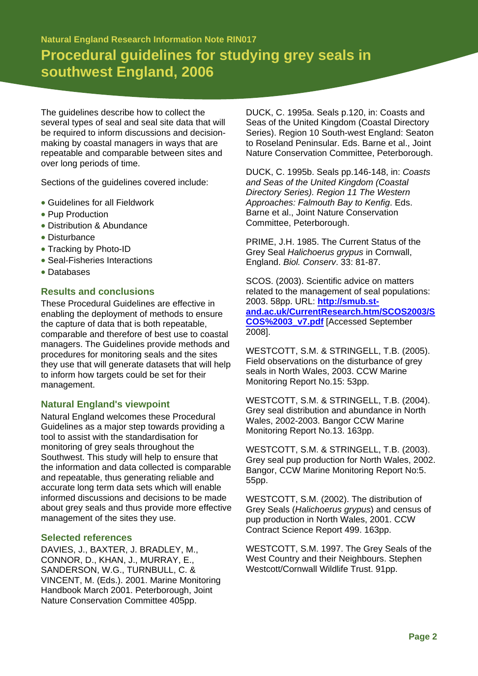**Natural England Research Information Note RIN017 Procedural guidelines for studying grey seals in southwest England, 2006** 

The guidelines describe how to collect the several types of seal and seal site data that will be required to inform discussions and decisionmaking by coastal managers in ways that are repeatable and comparable between sites and over long periods of time.

Sections of the guidelines covered include:

- Guidelines for all Fieldwork
- Pup Production
- Distribution & Abundance
- Disturbance
- Tracking by Photo-ID
- Seal-Fisheries Interactions
- Databases

## **Results and conclusions**

These Procedural Guidelines are effective in enabling the deployment of methods to ensure the capture of data that is both repeatable, comparable and therefore of best use to coastal managers. The Guidelines provide methods and procedures for monitoring seals and the sites they use that will generate datasets that will help to inform how targets could be set for their management.

#### **Natural England's viewpoint**

Natural England welcomes these Procedural Guidelines as a major step towards providing a tool to assist with the standardisation for monitoring of grey seals throughout the Southwest. This study will help to ensure that the information and data collected is comparable and repeatable, thus generating reliable and accurate long term data sets which will enable informed discussions and decisions to be made about grey seals and thus provide more effective management of the sites they use.

#### **Selected references**

DAVIES, J., BAXTER, J. BRADLEY, M., CONNOR, D., KHAN, J., MURRAY, E., SANDERSON, W.G., TURNBULL, C. & VINCENT, M. (Eds.). 2001. Marine Monitoring Handbook March 2001. Peterborough, Joint Nature Conservation Committee 405pp.

DUCK, C. 1995a. Seals p.120, in: Coasts and Seas of the United Kingdom (Coastal Directory Series). Region 10 South-west England: Seaton to Roseland Peninsular. Eds. Barne et al., Joint Nature Conservation Committee, Peterborough.

DUCK, C. 1995b. Seals pp.146-148, in: *Coasts and Seas of the United Kingdom (Coastal Directory Series). Region 11 The Western Approaches: Falmouth Bay to Kenfig*. Eds. Barne et al., Joint Nature Conservation Committee, Peterborough.

PRIME, J.H. 1985. The Current Status of the Grey Seal *Halichoerus grypus* in Cornwall, England. *Biol. Conserv*. 33: 81-87.

SCOS. (2003). Scientific advice on matters related to the management of seal populations: 2003. 58pp. URL: **[http://smub.st](http://smub.st-and.ac.uk/CurrentResearch.htm/SCOS2003/SCOS%2003_v7.pdf)[and.ac.uk/CurrentResearch.htm/SCOS2003/S](http://smub.st-and.ac.uk/CurrentResearch.htm/SCOS2003/SCOS%2003_v7.pdf) [COS%2003\\_v7.pdf](http://smub.st-and.ac.uk/CurrentResearch.htm/SCOS2003/SCOS%2003_v7.pdf)** [Accessed September 2008].

WESTCOTT, S.M. & STRINGELL, T.B. (2005). Field observations on the disturbance of grey seals in North Wales, 2003. CCW Marine Monitoring Report No.15: 53pp.

WESTCOTT, S.M. & STRINGELL, T.B. (2004). Grey seal distribution and abundance in North Wales, 2002-2003. Bangor CCW Marine Monitoring Report No.13. 163pp.

WESTCOTT, S.M. & STRINGELL, T.B. (2003). Grey seal pup production for North Wales, 2002. Bangor, CCW Marine Monitoring Report No:5. 55pp.

WESTCOTT, S.M. (2002). The distribution of Grey Seals (*Halichoerus grypus*) and census of pup production in North Wales, 2001. CCW Contract Science Report 499. 163pp.

WESTCOTT, S.M. 1997. The Grey Seals of the West Country and their Neighbours. Stephen Westcott/Cornwall Wildlife Trust. 91pp.